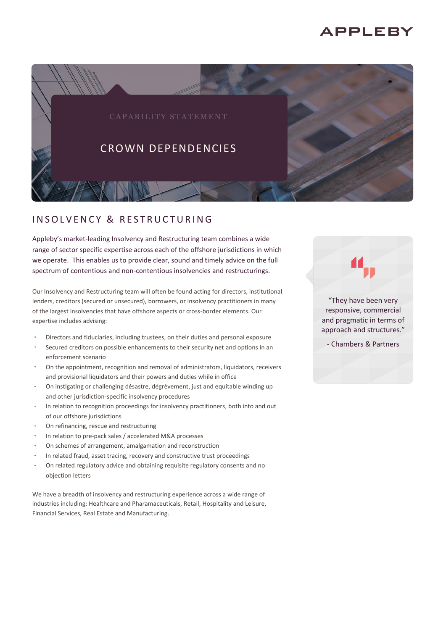# **APPLEBY**



## INSOLVENCY & RESTRUCTURING

Appleby's market-leading Insolvency and Restructuring team combines a wide range of sector specific expertise across each of the offshore jurisdictions in which we operate. This enables us to provide clear, sound and timely advice on the full spectrum of contentious and non-contentious insolvencies and restructurings.

Our Insolvency and Restructuring team will often be found acting for directors, institutional lenders, creditors (secured or unsecured), borrowers, or insolvency practitioners in many of the largest insolvencies that have offshore aspects or cross-border elements. Our expertise includes advising:

- Directors and fiduciaries, including trustees, on their duties and personal exposure
- Secured creditors on possible enhancements to their security net and options in an enforcement scenario
- On the appointment, recognition and removal of administrators, liquidators, receivers and provisional liquidators and their powers and duties while in office
- On instigating or challenging désastre, dégrèvement, just and equitable winding up and other jurisdiction-specific insolvency procedures
- In relation to recognition proceedings for insolvency practitioners, both into and out of our offshore jurisdictions
- On refinancing, rescue and restructuring
- In relation to pre-pack sales / accelerated M&A processes
- On schemes of arrangement, amalgamation and reconstruction
- In related fraud, asset tracing, recovery and constructive trust proceedings
- On related regulatory advice and obtaining requisite regulatory consents and no objection letters

We have a breadth of insolvency and restructuring experience across a wide range of industries including: Healthcare and Pharamaceuticals, Retail, Hospitality and Leisure, Financial Services, Real Estate and Manufacturing.

"They have been very responsive, commercial and pragmatic in terms of approach and structures."

- Chambers & Partners